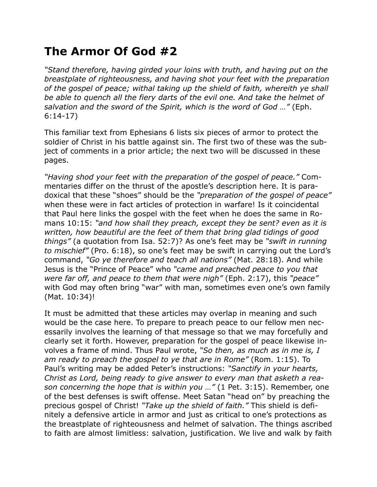## **The Armor Of God #2**

*"Stand therefore, having girded your loins with truth, and having put on the breastplate of righteousness, and having shot your feet with the preparation of the gospel of peace; withal taking up the shield of faith, whereith ye shall be able to quench all the fiery darts of the evil one. And take the helmet of salvation and the sword of the Spirit, which is the word of God …"* (Eph. 6:14-17)

This familiar text from Ephesians 6 lists six pieces of armor to protect the soldier of Christ in his battle against sin. The first two of these was the subject of comments in a prior article; the next two will be discussed in these pages.

*"Having shod your feet with the preparation of the gospel of peace."* Commentaries differ on the thrust of the apostle's description here. It is paradoxical that these "shoes" should be the *"preparation of the gospel of peace"*  when these were in fact articles of protection in warfare! Is it coincidental that Paul here links the gospel with the feet when he does the same in Romans 10:15: *"and how shall they preach, except they be sent? even as it is written, how beautiful are the feet of them that bring glad tidings of good things"* (a quotation from Isa. 52:7)? As one's feet may be *"swift in running to mischief"* (Pro. 6:18), so one's feet may be swift in carrying out the Lord's command, *"Go ye therefore and teach all nations"* (Mat. 28:18). And while Jesus is the "Prince of Peace" who *"came and preached peace to you that were far off, and peace to them that were nigh"* (Eph. 2:17), this *"peace"* with God may often bring "war" with man, sometimes even one's own family (Mat. 10:34)!

It must be admitted that these articles may overlap in meaning and such would be the case here. To prepare to preach peace to our fellow men necessarily involves the learning of that message so that we may forcefully and clearly set it forth. However, preparation for the gospel of peace likewise involves a frame of mind. Thus Paul wrote, *"So then, as much as in me is, I am ready to preach the gospel to ye that are in Rome"* (Rom. 1:15). To Paul's writing may be added Peter's instructions: *"Sanctify in your hearts, Christ as Lord, being ready to give answer to every man that asketh a reason concerning the hope that is within you …"* (1 Pet. 3:15). Remember, one of the best defenses is swift offense. Meet Satan "head on" by preaching the precious gospel of Christ! *"Take up the shield of faith."* This shield is definitely a defensive article in armor and just as critical to one's protections as the breastplate of righteousness and helmet of salvation. The things ascribed to faith are almost limitless: salvation, justification. We live and walk by faith